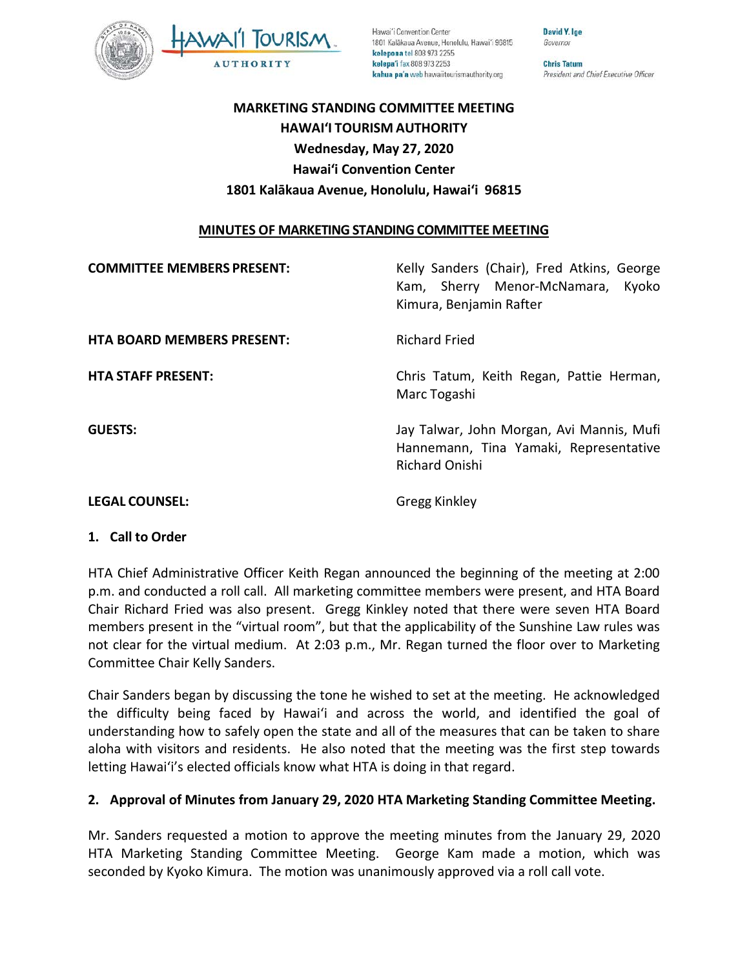

Hawai'i Convention Center 1801 Kalākaua Avenue, Honolulu, Hawai'i 96815 kelepona tel 808 973 2255 kelepa'i fax 808 973 2253 kahua pa'a web hawaiitourismauthority.org

Governor **Chris Tatum** President and Chief Executive Officer

**David Y. Ige** 

## **MARKETING STANDING COMMITTEE MEETING HAWAI'I TOURISM AUTHORITY Wednesday, May 27, 2020 Hawai'i Convention Center 1801 Kalākaua Avenue, Honolulu, Hawai'i 96815**

### **MINUTES OF MARKETING STANDING COMMITTEE MEETING**

| <b>COMMITTEE MEMBERS PRESENT:</b> | Kelly Sanders (Chair), Fred Atkins, George<br>Kyoko<br>Kam, Sherry Menor-McNamara,<br>Kimura, Benjamin Rafter |
|-----------------------------------|---------------------------------------------------------------------------------------------------------------|
| <b>HTA BOARD MEMBERS PRESENT:</b> | <b>Richard Fried</b>                                                                                          |
| <b>HTA STAFF PRESENT:</b>         | Chris Tatum, Keith Regan, Pattie Herman,<br>Marc Togashi                                                      |
| <b>GUESTS:</b>                    | Jay Talwar, John Morgan, Avi Mannis, Mufi<br>Hannemann, Tina Yamaki, Representative<br><b>Richard Onishi</b>  |

#### **LEGAL COUNSEL:** Gregg Kinkley

#### **1. Call to Order**

HTA Chief Administrative Officer Keith Regan announced the beginning of the meeting at 2:00 p.m. and conducted a roll call. All marketing committee members were present, and HTA Board Chair Richard Fried was also present. Gregg Kinkley noted that there were seven HTA Board members present in the "virtual room", but that the applicability of the Sunshine Law rules was not clear for the virtual medium. At 2:03 p.m., Mr. Regan turned the floor over to Marketing Committee Chair Kelly Sanders.

Chair Sanders began by discussing the tone he wished to set at the meeting. He acknowledged the difficulty being faced by Hawai'i and across the world, and identified the goal of understanding how to safely open the state and all of the measures that can be taken to share aloha with visitors and residents. He also noted that the meeting was the first step towards letting Hawai'i's elected officials know what HTA is doing in that regard.

## **2. Approval of Minutes from January 29, 2020 HTA Marketing Standing Committee Meeting.**

Mr. Sanders requested a motion to approve the meeting minutes from the January 29, 2020 HTA Marketing Standing Committee Meeting. George Kam made a motion, which was seconded by Kyoko Kimura. The motion was unanimously approved via a roll call vote.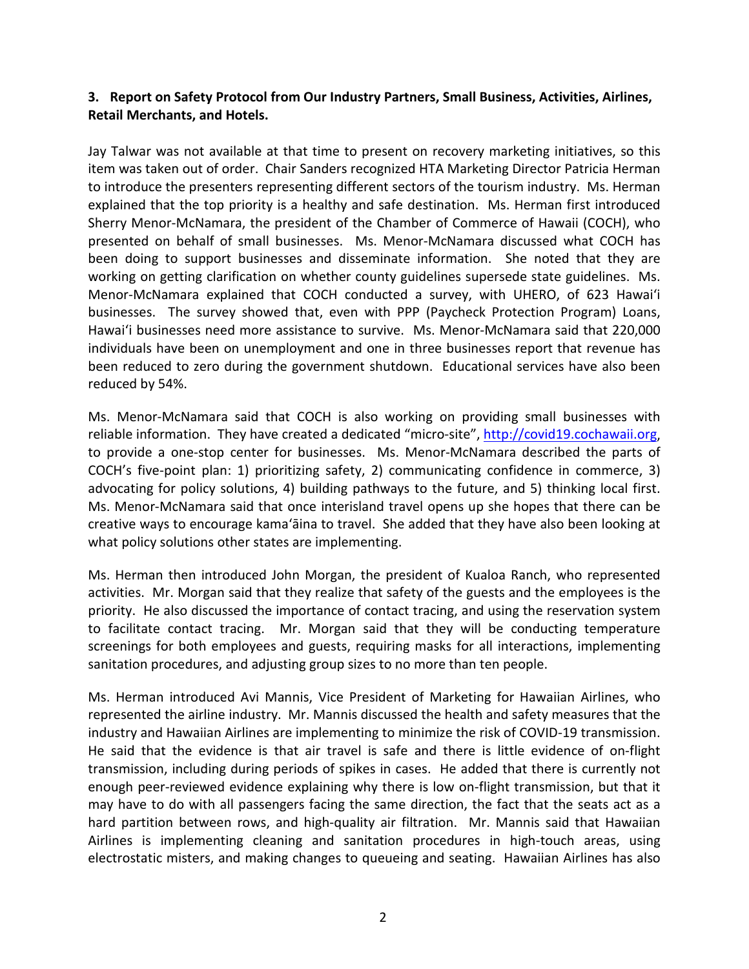## **3. Report on Safety Protocol from Our Industry Partners, Small Business, Activities, Airlines, Retail Merchants, and Hotels.**

Jay Talwar was not available at that time to present on recovery marketing initiatives, so this item was taken out of order. Chair Sanders recognized HTA Marketing Director Patricia Herman to introduce the presenters representing different sectors of the tourism industry. Ms. Herman explained that the top priority is a healthy and safe destination. Ms. Herman first introduced Sherry Menor-McNamara, the president of the Chamber of Commerce of Hawaii (COCH), who presented on behalf of small businesses. Ms. Menor-McNamara discussed what COCH has been doing to support businesses and disseminate information. She noted that they are working on getting clarification on whether county guidelines supersede state guidelines. Ms. Menor-McNamara explained that COCH conducted a survey, with UHERO, of 623 Hawai'i businesses. The survey showed that, even with PPP (Paycheck Protection Program) Loans, Hawai'i businesses need more assistance to survive. Ms. Menor-McNamara said that 220,000 individuals have been on unemployment and one in three businesses report that revenue has been reduced to zero during the government shutdown. Educational services have also been reduced by 54%.

Ms. Menor-McNamara said that COCH is also working on providing small businesses with reliable information. They have created a dedicated "micro-site", [http://covid19.cochawaii.org,](http://covid19.cochawaii.org/) to provide a one-stop center for businesses. Ms. Menor-McNamara described the parts of COCH's five-point plan: 1) prioritizing safety, 2) communicating confidence in commerce, 3) advocating for policy solutions, 4) building pathways to the future, and 5) thinking local first. Ms. Menor-McNamara said that once interisland travel opens up she hopes that there can be creative ways to encourage kama'āina to travel. She added that they have also been looking at what policy solutions other states are implementing.

Ms. Herman then introduced John Morgan, the president of Kualoa Ranch, who represented activities. Mr. Morgan said that they realize that safety of the guests and the employees is the priority. He also discussed the importance of contact tracing, and using the reservation system to facilitate contact tracing. Mr. Morgan said that they will be conducting temperature screenings for both employees and guests, requiring masks for all interactions, implementing sanitation procedures, and adjusting group sizes to no more than ten people.

Ms. Herman introduced Avi Mannis, Vice President of Marketing for Hawaiian Airlines, who represented the airline industry. Mr. Mannis discussed the health and safety measures that the industry and Hawaiian Airlines are implementing to minimize the risk of COVID-19 transmission. He said that the evidence is that air travel is safe and there is little evidence of on-flight transmission, including during periods of spikes in cases. He added that there is currently not enough peer-reviewed evidence explaining why there is low on-flight transmission, but that it may have to do with all passengers facing the same direction, the fact that the seats act as a hard partition between rows, and high-quality air filtration. Mr. Mannis said that Hawaiian Airlines is implementing cleaning and sanitation procedures in high-touch areas, using electrostatic misters, and making changes to queueing and seating. Hawaiian Airlines has also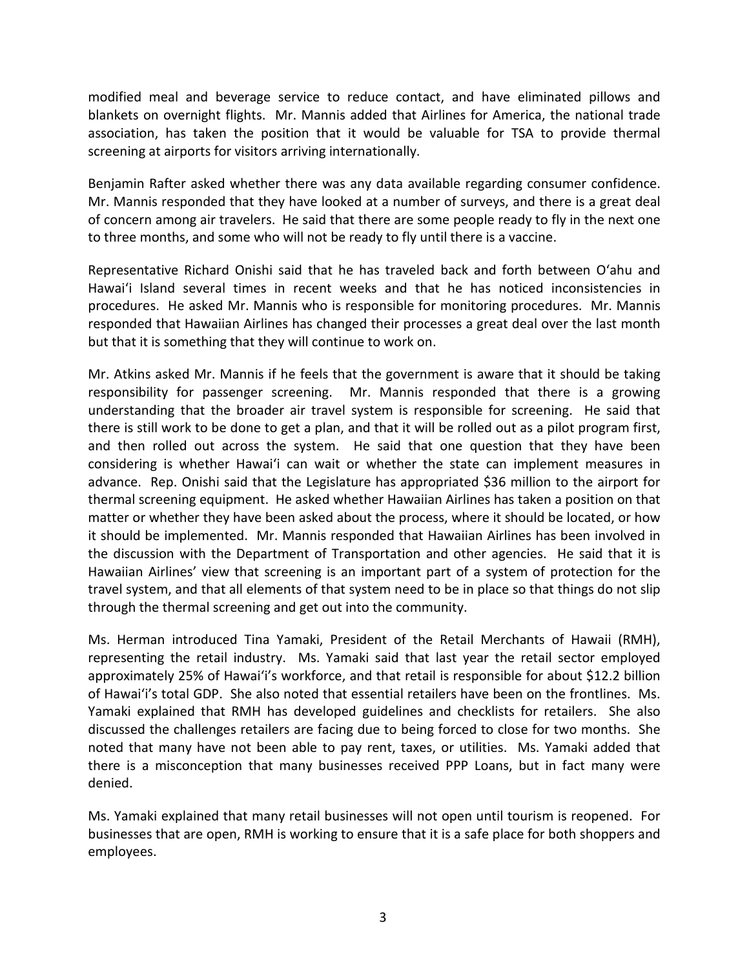modified meal and beverage service to reduce contact, and have eliminated pillows and blankets on overnight flights. Mr. Mannis added that Airlines for America, the national trade association, has taken the position that it would be valuable for TSA to provide thermal screening at airports for visitors arriving internationally.

Benjamin Rafter asked whether there was any data available regarding consumer confidence. Mr. Mannis responded that they have looked at a number of surveys, and there is a great deal of concern among air travelers. He said that there are some people ready to fly in the next one to three months, and some who will not be ready to fly until there is a vaccine.

Representative Richard Onishi said that he has traveled back and forth between O'ahu and Hawai'i Island several times in recent weeks and that he has noticed inconsistencies in procedures. He asked Mr. Mannis who is responsible for monitoring procedures. Mr. Mannis responded that Hawaiian Airlines has changed their processes a great deal over the last month but that it is something that they will continue to work on.

Mr. Atkins asked Mr. Mannis if he feels that the government is aware that it should be taking responsibility for passenger screening. Mr. Mannis responded that there is a growing understanding that the broader air travel system is responsible for screening. He said that there is still work to be done to get a plan, and that it will be rolled out as a pilot program first, and then rolled out across the system. He said that one question that they have been considering is whether Hawai'i can wait or whether the state can implement measures in advance. Rep. Onishi said that the Legislature has appropriated \$36 million to the airport for thermal screening equipment. He asked whether Hawaiian Airlines has taken a position on that matter or whether they have been asked about the process, where it should be located, or how it should be implemented. Mr. Mannis responded that Hawaiian Airlines has been involved in the discussion with the Department of Transportation and other agencies. He said that it is Hawaiian Airlines' view that screening is an important part of a system of protection for the travel system, and that all elements of that system need to be in place so that things do not slip through the thermal screening and get out into the community.

Ms. Herman introduced Tina Yamaki, President of the Retail Merchants of Hawaii (RMH), representing the retail industry. Ms. Yamaki said that last year the retail sector employed approximately 25% of Hawai'i's workforce, and that retail is responsible for about \$12.2 billion of Hawai'i's total GDP. She also noted that essential retailers have been on the frontlines. Ms. Yamaki explained that RMH has developed guidelines and checklists for retailers. She also discussed the challenges retailers are facing due to being forced to close for two months. She noted that many have not been able to pay rent, taxes, or utilities. Ms. Yamaki added that there is a misconception that many businesses received PPP Loans, but in fact many were denied.

Ms. Yamaki explained that many retail businesses will not open until tourism is reopened. For businesses that are open, RMH is working to ensure that it is a safe place for both shoppers and employees.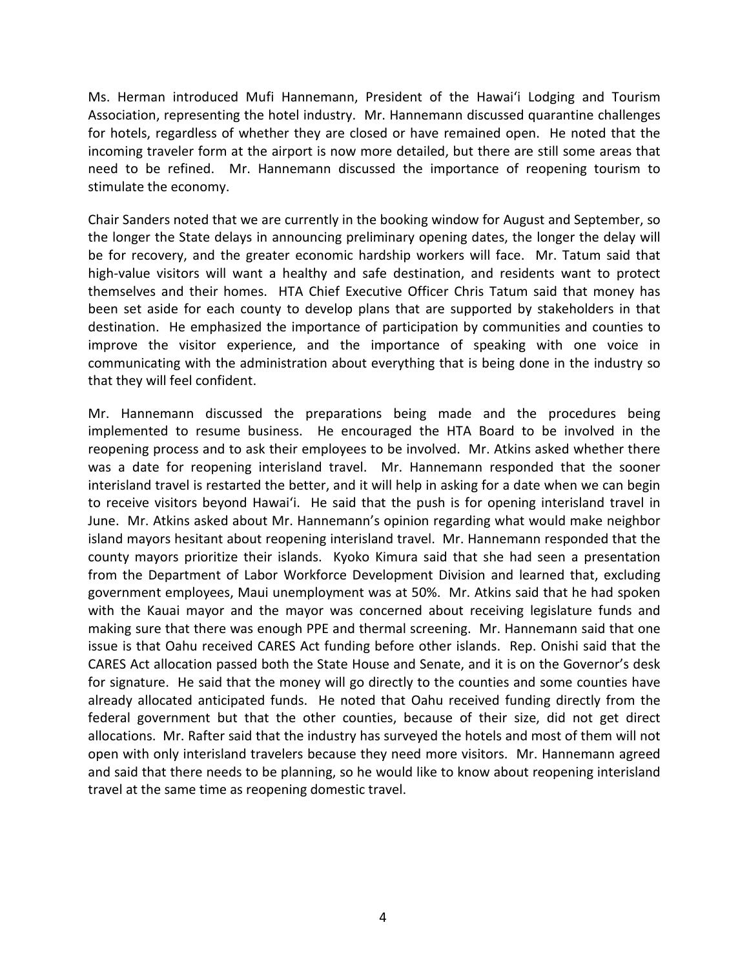Ms. Herman introduced Mufi Hannemann, President of the Hawai'i Lodging and Tourism Association, representing the hotel industry. Mr. Hannemann discussed quarantine challenges for hotels, regardless of whether they are closed or have remained open. He noted that the incoming traveler form at the airport is now more detailed, but there are still some areas that need to be refined. Mr. Hannemann discussed the importance of reopening tourism to stimulate the economy.

Chair Sanders noted that we are currently in the booking window for August and September, so the longer the State delays in announcing preliminary opening dates, the longer the delay will be for recovery, and the greater economic hardship workers will face. Mr. Tatum said that high-value visitors will want a healthy and safe destination, and residents want to protect themselves and their homes. HTA Chief Executive Officer Chris Tatum said that money has been set aside for each county to develop plans that are supported by stakeholders in that destination. He emphasized the importance of participation by communities and counties to improve the visitor experience, and the importance of speaking with one voice in communicating with the administration about everything that is being done in the industry so that they will feel confident.

Mr. Hannemann discussed the preparations being made and the procedures being implemented to resume business. He encouraged the HTA Board to be involved in the reopening process and to ask their employees to be involved. Mr. Atkins asked whether there was a date for reopening interisland travel. Mr. Hannemann responded that the sooner interisland travel is restarted the better, and it will help in asking for a date when we can begin to receive visitors beyond Hawai'i. He said that the push is for opening interisland travel in June. Mr. Atkins asked about Mr. Hannemann's opinion regarding what would make neighbor island mayors hesitant about reopening interisland travel. Mr. Hannemann responded that the county mayors prioritize their islands. Kyoko Kimura said that she had seen a presentation from the Department of Labor Workforce Development Division and learned that, excluding government employees, Maui unemployment was at 50%. Mr. Atkins said that he had spoken with the Kauai mayor and the mayor was concerned about receiving legislature funds and making sure that there was enough PPE and thermal screening. Mr. Hannemann said that one issue is that Oahu received CARES Act funding before other islands. Rep. Onishi said that the CARES Act allocation passed both the State House and Senate, and it is on the Governor's desk for signature. He said that the money will go directly to the counties and some counties have already allocated anticipated funds. He noted that Oahu received funding directly from the federal government but that the other counties, because of their size, did not get direct allocations. Mr. Rafter said that the industry has surveyed the hotels and most of them will not open with only interisland travelers because they need more visitors. Mr. Hannemann agreed and said that there needs to be planning, so he would like to know about reopening interisland travel at the same time as reopening domestic travel.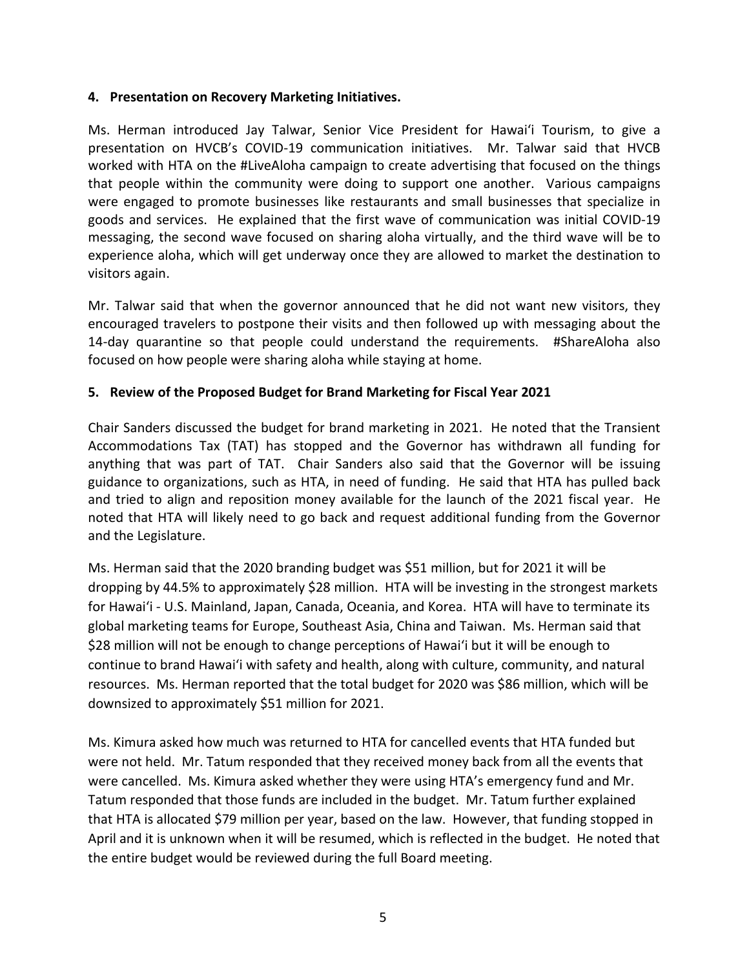### **4. Presentation on Recovery Marketing Initiatives.**

Ms. Herman introduced Jay Talwar, Senior Vice President for Hawai'i Tourism, to give a presentation on HVCB's COVID-19 communication initiatives. Mr. Talwar said that HVCB worked with HTA on the #LiveAloha campaign to create advertising that focused on the things that people within the community were doing to support one another. Various campaigns were engaged to promote businesses like restaurants and small businesses that specialize in goods and services. He explained that the first wave of communication was initial COVID-19 messaging, the second wave focused on sharing aloha virtually, and the third wave will be to experience aloha, which will get underway once they are allowed to market the destination to visitors again.

Mr. Talwar said that when the governor announced that he did not want new visitors, they encouraged travelers to postpone their visits and then followed up with messaging about the 14-day quarantine so that people could understand the requirements. #ShareAloha also focused on how people were sharing aloha while staying at home.

## **5. Review of the Proposed Budget for Brand Marketing for Fiscal Year 2021**

Chair Sanders discussed the budget for brand marketing in 2021. He noted that the Transient Accommodations Tax (TAT) has stopped and the Governor has withdrawn all funding for anything that was part of TAT. Chair Sanders also said that the Governor will be issuing guidance to organizations, such as HTA, in need of funding. He said that HTA has pulled back and tried to align and reposition money available for the launch of the 2021 fiscal year. He noted that HTA will likely need to go back and request additional funding from the Governor and the Legislature.

Ms. Herman said that the 2020 branding budget was \$51 million, but for 2021 it will be dropping by 44.5% to approximately \$28 million. HTA will be investing in the strongest markets for Hawai'i - U.S. Mainland, Japan, Canada, Oceania, and Korea. HTA will have to terminate its global marketing teams for Europe, Southeast Asia, China and Taiwan. Ms. Herman said that \$28 million will not be enough to change perceptions of Hawai'i but it will be enough to continue to brand Hawai'i with safety and health, along with culture, community, and natural resources. Ms. Herman reported that the total budget for 2020 was \$86 million, which will be downsized to approximately \$51 million for 2021.

Ms. Kimura asked how much was returned to HTA for cancelled events that HTA funded but were not held. Mr. Tatum responded that they received money back from all the events that were cancelled. Ms. Kimura asked whether they were using HTA's emergency fund and Mr. Tatum responded that those funds are included in the budget. Mr. Tatum further explained that HTA is allocated \$79 million per year, based on the law. However, that funding stopped in April and it is unknown when it will be resumed, which is reflected in the budget. He noted that the entire budget would be reviewed during the full Board meeting.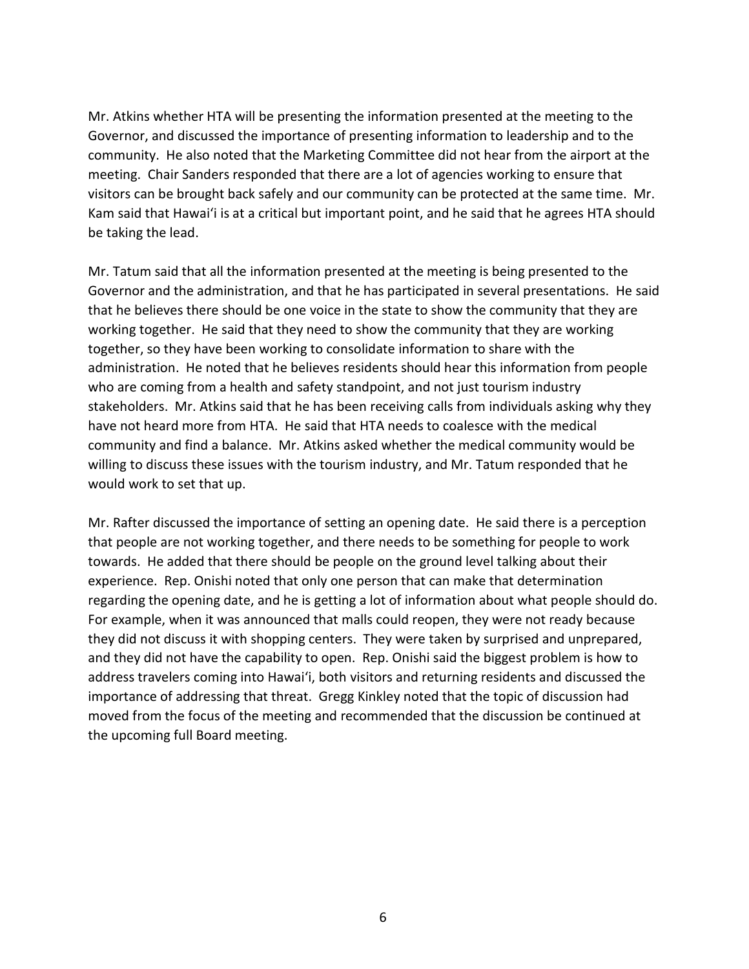Mr. Atkins whether HTA will be presenting the information presented at the meeting to the Governor, and discussed the importance of presenting information to leadership and to the community. He also noted that the Marketing Committee did not hear from the airport at the meeting. Chair Sanders responded that there are a lot of agencies working to ensure that visitors can be brought back safely and our community can be protected at the same time. Mr. Kam said that Hawai'i is at a critical but important point, and he said that he agrees HTA should be taking the lead.

Mr. Tatum said that all the information presented at the meeting is being presented to the Governor and the administration, and that he has participated in several presentations. He said that he believes there should be one voice in the state to show the community that they are working together. He said that they need to show the community that they are working together, so they have been working to consolidate information to share with the administration. He noted that he believes residents should hear this information from people who are coming from a health and safety standpoint, and not just tourism industry stakeholders. Mr. Atkins said that he has been receiving calls from individuals asking why they have not heard more from HTA. He said that HTA needs to coalesce with the medical community and find a balance. Mr. Atkins asked whether the medical community would be willing to discuss these issues with the tourism industry, and Mr. Tatum responded that he would work to set that up.

Mr. Rafter discussed the importance of setting an opening date. He said there is a perception that people are not working together, and there needs to be something for people to work towards. He added that there should be people on the ground level talking about their experience. Rep. Onishi noted that only one person that can make that determination regarding the opening date, and he is getting a lot of information about what people should do. For example, when it was announced that malls could reopen, they were not ready because they did not discuss it with shopping centers. They were taken by surprised and unprepared, and they did not have the capability to open. Rep. Onishi said the biggest problem is how to address travelers coming into Hawai'i, both visitors and returning residents and discussed the importance of addressing that threat. Gregg Kinkley noted that the topic of discussion had moved from the focus of the meeting and recommended that the discussion be continued at the upcoming full Board meeting.